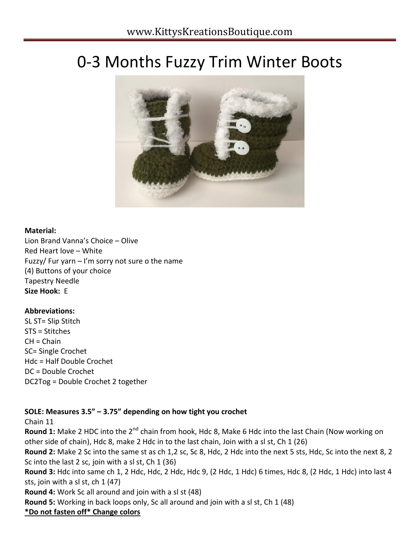# 0-3 Months Fuzzy Trim Winter Boots



#### **Material:**

Lion Brand Vanna's Choice – Olive Red Heart love – White Fuzzy/ Fur yarn  $-1$ 'm sorry not sure o the name (4) Buttons of your choice Tapestry Needle **Size Hook:** E

#### **Abbreviations:**

SL ST= Slip Stitch STS = Stitches  $CH = Chain$ SC= Single Crochet Hdc = Half Double Crochet DC = Double Crochet DC2Tog = Double Crochet 2 together

### **SOLE: Measures 3.5" – 3.75" depending on how tight you crochet**

Chain 11

**Round 1:** Make 2 HDC into the 2<sup>nd</sup> chain from hook, Hdc 8, Make 6 Hdc into the last Chain (Now working on other side of chain), Hdc 8, make 2 Hdc in to the last chain, Join with a sl st, Ch 1 (26) **Round 2:** Make 2 Sc into the same st as ch 1,2 sc, Sc 8, Hdc, 2 Hdc into the next 5 sts, Hdc, Sc into the next 8, 2 Sc into the last 2 sc, join with a sl st, Ch 1 (36) **Round 3:** Hdc into same ch 1, 2 Hdc, Hdc, 2 Hdc, Hdc 9, (2 Hdc, 1 Hdc) 6 times, Hdc 8, (2 Hdc, 1 Hdc) into last 4 sts, join with a sl st, ch 1 (47) **Round 4:** Work Sc all around and join with a sl st (48) **Round 5:** Working in back loops only, Sc all around and join with a sl st, Ch 1 (48) **\*Do not fasten off\* Change colors**